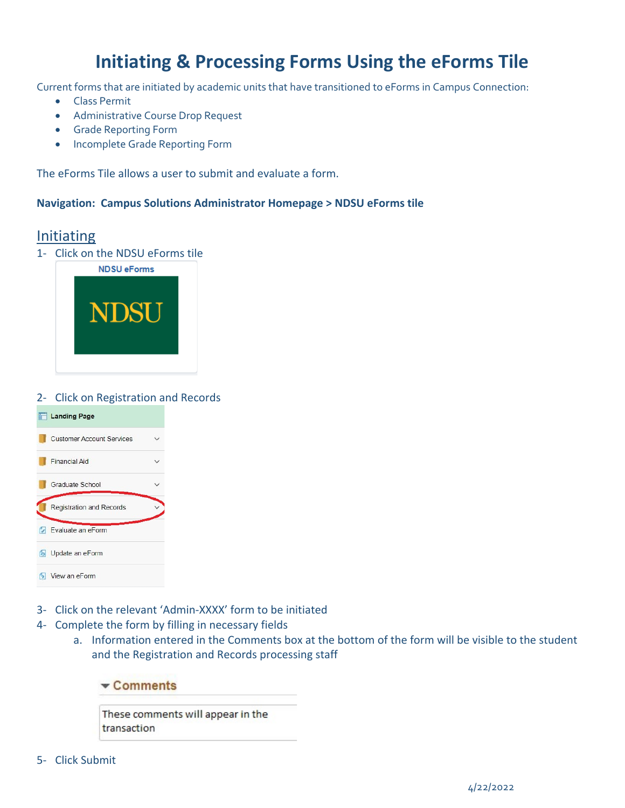# **Initiating & Processing Forms Using the eForms Tile**

Current forms that are initiated by academic units that have transitioned to eForms in Campus Connection:

- Class Permit
- Administrative Course Drop Request
- Grade Reporting Form
- Incomplete Grade Reporting Form

The eForms Tile allows a user to submit and evaluate a form.

#### **Navigation: Campus Solutions Administrator Homepage > NDSU eForms tile**

### Initiating

1‐ Click on the NDSU eForms tile



#### 2‐ Click on Registration and Records

| <b>Landing Page</b>              |  |
|----------------------------------|--|
| <b>Customer Account Services</b> |  |
| <b>Financial Aid</b>             |  |
| Graduate School                  |  |
| <b>Registration and Records</b>  |  |
| <b>D</b> Evaluate an eForm       |  |
| <b>b</b> Update an eForm         |  |
| View an eForm                    |  |

- 3‐ Click on the relevant 'Admin‐XXXX' form to be initiated
- 4‐ Complete the form by filling in necessary fields
	- a. Information entered in the Comments box at the bottom of the form will be visible to the student and the Registration and Records processing staff

| $\sqrt{\frac{1}{2}}$ Comments |  |  |  |  |
|-------------------------------|--|--|--|--|
|                               |  |  |  |  |

These comments will appear in the transaction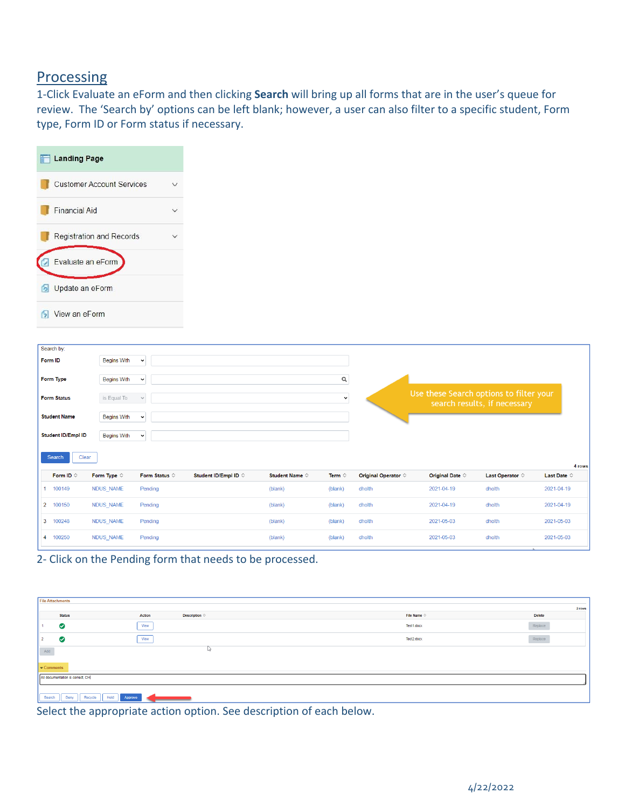## **Processing**

1‐Click Evaluate an eForm and then clicking **Search** will bring up all forms that are in the user's queue for review. The 'Search by' options can be left blank; however, a user can also filter to a specific student, Form type, Form ID or Form status if necessary.

| <b>Landing Page</b>                                                    |                                  |                        |                               |                         |                 |                              |                                         |                              |                                                                |
|------------------------------------------------------------------------|----------------------------------|------------------------|-------------------------------|-------------------------|-----------------|------------------------------|-----------------------------------------|------------------------------|----------------------------------------------------------------|
|                                                                        | <b>Customer Account Services</b> | $\checkmark$           |                               |                         |                 |                              |                                         |                              |                                                                |
| <b>Financial Aid</b>                                                   |                                  | $\checkmark$           |                               |                         |                 |                              |                                         |                              |                                                                |
|                                                                        | <b>Registration and Records</b>  | $\checkmark$           |                               |                         |                 |                              |                                         |                              |                                                                |
| Evaluate an eForm<br>Ø                                                 |                                  |                        |                               |                         |                 |                              |                                         |                              |                                                                |
| Update an eForm<br>$\sigma$                                            |                                  |                        |                               |                         |                 |                              |                                         |                              |                                                                |
| View an eForm<br>61                                                    |                                  |                        |                               |                         |                 |                              |                                         |                              |                                                                |
| Search by:<br>Form ID                                                  | <b>Begins With</b>               | $\check{~}$            |                               |                         |                 |                              |                                         |                              |                                                                |
| Form Type                                                              | <b>Begins With</b>               | $\check{~}$            |                               |                         | $\hbox{\tt Q}$  |                              |                                         |                              |                                                                |
| <b>Form Status</b>                                                     | is Equal To                      | $\checkmark$           |                               |                         | $\checkmark$    |                              | Use these Search options to filter your | search results, if necessary |                                                                |
| <b>Student Name</b>                                                    | <b>Begins With</b>               | $\check{~}$            |                               |                         |                 |                              |                                         |                              |                                                                |
|                                                                        | <b>Begins With</b>               | $\check{~}$            |                               |                         |                 |                              |                                         |                              |                                                                |
| Clear<br>Search                                                        |                                  |                        |                               |                         |                 |                              |                                         |                              |                                                                |
| Form ID $\diamond$                                                     | Form Type $\diamond$             | Form Status $\diamond$ | Student ID/Empl ID $\Diamond$ | Student Name $\diamond$ | Term $\Diamond$ | Original Operator $\diamond$ | Original Date $\diamond$                | Last Operator $\Diamond$     |                                                                |
|                                                                        | NDUS_NAME                        | Pending                |                               | (blank)                 | (blank)         | dholth                       | 2021-04-19                              | dholth                       |                                                                |
| 100150                                                                 | NDUS_NAME                        | Pending                |                               | (blank)                 | (blank)         | dholth                       | 2021-04-19                              | dholth                       |                                                                |
| <b>Student ID/Empl ID</b><br>1 100149<br>$\overline{2}$<br>100248<br>3 | NDUS_NAME                        | Pending                |                               | (blank)                 | (blank)         | dholth                       | 2021-05-03                              | dholth                       | Last Date $\diamond$<br>2021-04-19<br>2021-04-19<br>2021-05-03 |

| <b>File Attachments</b>          |                                      |             |         |  |  |  |  |
|----------------------------------|--------------------------------------|-------------|---------|--|--|--|--|
|                                  |                                      |             | 2 rows  |  |  |  |  |
| <b>Status</b>                    | Description $\circ$<br><b>Action</b> | File Name O | Delete  |  |  |  |  |
| ◙                                | View                                 | Test1.docx  | Replace |  |  |  |  |
| $\bullet$                        | ___<br>View                          | Test2.docx  | Replace |  |  |  |  |
| Add                              | PY.                                  |             |         |  |  |  |  |
| $\bullet$ Comments               |                                      |             |         |  |  |  |  |
| All documentation is correct, CH |                                      |             |         |  |  |  |  |
| Search<br>Deny                   | Recycle Hold<br>Approve              |             |         |  |  |  |  |

Select the appropriate action option. See description of each below.